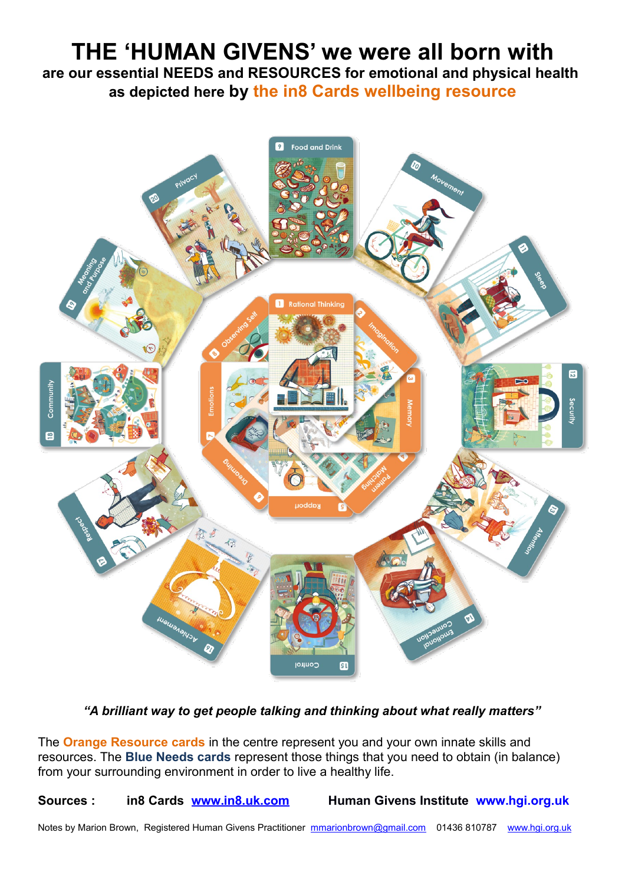## **THE 'HUMAN GIVENS' we were all born with are our essential NEEDS and RESOURCES for emotional and physical health as depicted here by the in8 Cards wellbeing resource**



*"A brilliant way to get people talking and thinking about what really matters"*

The **Orange Resource cards** in the centre represent you and your own innate skills and resources. The **Blue Needs cards** represent those things that you need to obtain (in balance) from your surrounding environment in order to live a healthy life.

**Sources : in8 Cards [www.in8.uk.com](http://www.in8.uk.com/) Human Givens Institute [www.hgi.org.uk](http://www.hgi.org.uk/)**

Notes by Marion Brown, Registered Human Givens Practitioner [mmarionbrown@gmail.com](mailto:mmarionbrown@gmail.com) 01436 810787 [www.hgi.org.uk](http://www.hgi.org.uk/)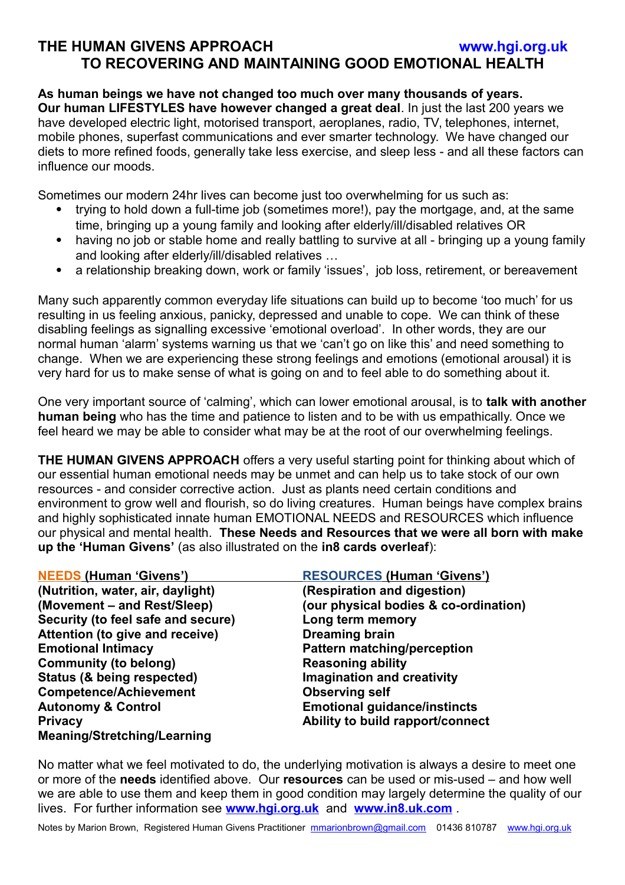## **THE HUMAN GIVENS APPROACH [www.hgi.org.uk](http://www.hgi.org.uk/) TO RECOVERING AND MAINTAINING GOOD EMOTIONAL HEALTH**

**As human beings we have not changed too much over many thousands of years. Our human LIFESTYLES have however changed a great deal**. In just the last 200 years we have developed electric light, motorised transport, aeroplanes, radio, TV, telephones, internet, mobile phones, superfast communications and ever smarter technology. We have changed our diets to more refined foods, generally take less exercise, and sleep less - and all these factors can influence our moods.

Sometimes our modern 24hr lives can become just too overwhelming for us such as:

- trying to hold down a full-time job (sometimes more!), pay the mortgage, and, at the same time, bringing up a young family and looking after elderly/ill/disabled relatives OR
- having no job or stable home and really battling to survive at all bringing up a young family and looking after elderly/ill/disabled relatives …
- a relationship breaking down, work or family 'issues', job loss, retirement, or bereavement

Many such apparently common everyday life situations can build up to become 'too much' for us resulting in us feeling anxious, panicky, depressed and unable to cope. We can think of these disabling feelings as signalling excessive 'emotional overload'. In other words, they are our normal human 'alarm' systems warning us that we 'can't go on like this' and need something to change. When we are experiencing these strong feelings and emotions (emotional arousal) it is very hard for us to make sense of what is going on and to feel able to do something about it.

One very important source of 'calming', which can lower emotional arousal, is to **talk with another human being** who has the time and patience to listen and to be with us empathically. Once we feel heard we may be able to consider what may be at the root of our overwhelming feelings.

**THE HUMAN GIVENS APPROACH** offers a very useful starting point for thinking about which of our essential human emotional needs may be unmet and can help us to take stock of our own resources - and consider corrective action. Just as plants need certain conditions and environment to grow well and flourish, so do living creatures. Human beings have complex brains and highly sophisticated innate human EMOTIONAL NEEDS and RESOURCES which influence our physical and mental health. **These Needs and Resources that we were all born with make up the 'Human Givens'** (as also illustrated on the **in8 cards overleaf**):

| <b>NEEDS (Human 'Givens')</b>      | <b>RESOURCES (Human 'Givens')</b>     |
|------------------------------------|---------------------------------------|
| (Nutrition, water, air, daylight)  | (Respiration and digestion)           |
| (Movement – and Rest/Sleep)        | (our physical bodies & co-ordination) |
| Security (to feel safe and secure) | Long term memory                      |
| Attention (to give and receive)    | <b>Dreaming brain</b>                 |
| <b>Emotional Intimacy</b>          | <b>Pattern matching/perception</b>    |
| <b>Community (to belong)</b>       | <b>Reasoning ability</b>              |
| Status (& being respected)         | <b>Imagination and creativity</b>     |
| <b>Competence/Achievement</b>      | <b>Observing self</b>                 |
| <b>Autonomy &amp; Control</b>      | <b>Emotional guidance/instincts</b>   |
| <b>Privacy</b>                     | Ability to build rapport/connect      |
| <b>Meaning/Stretching/Learning</b> |                                       |

No matter what we feel motivated to do, the underlying motivation is always a desire to meet one or more of the **needs** identified above. Our **resources** can be used or mis-used – and how well we are able to use them and keep them in good condition may largely determine the quality of our lives. For further information see **[www.hgi.org.uk](http://www.hgi.org.uk/)** and **[www.in8.uk.com](http://www.in8.uk.com/)** .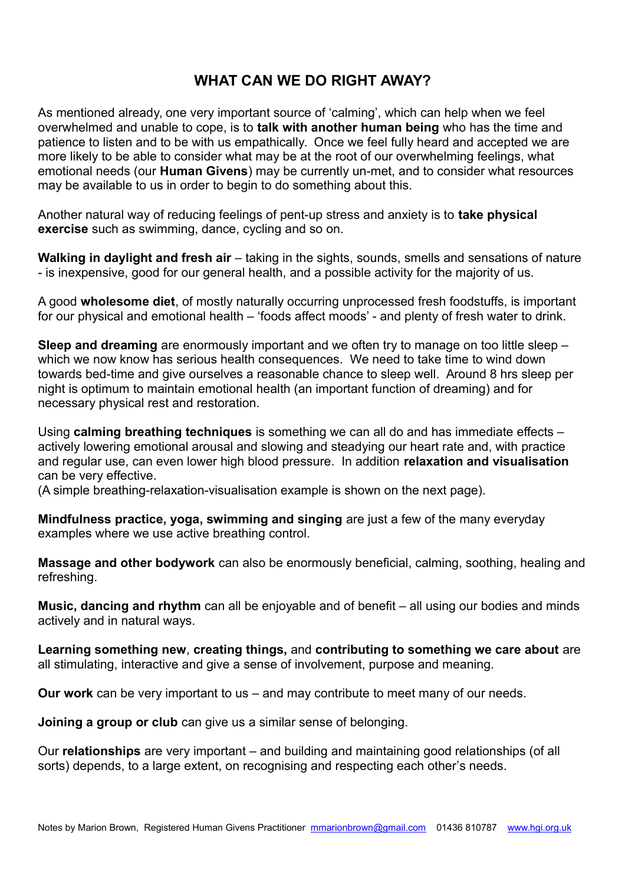## **WHAT CAN WE DO RIGHT AWAY?**

As mentioned already, one very important source of 'calming', which can help when we feel overwhelmed and unable to cope, is to **talk with another human being** who has the time and patience to listen and to be with us empathically. Once we feel fully heard and accepted we are more likely to be able to consider what may be at the root of our overwhelming feelings, what emotional needs (our **Human Givens**) may be currently un-met, and to consider what resources may be available to us in order to begin to do something about this.

Another natural way of reducing feelings of pent-up stress and anxiety is to **take physical exercise** such as swimming, dance, cycling and so on.

**Walking in daylight and fresh air** – taking in the sights, sounds, smells and sensations of nature - is inexpensive, good for our general health, and a possible activity for the majority of us.

A good **wholesome diet**, of mostly naturally occurring unprocessed fresh foodstuffs, is important for our physical and emotional health – 'foods affect moods' - and plenty of fresh water to drink.

**Sleep and dreaming** are enormously important and we often try to manage on too little sleep – which we now know has serious health consequences. We need to take time to wind down towards bed-time and give ourselves a reasonable chance to sleep well. Around 8 hrs sleep per night is optimum to maintain emotional health (an important function of dreaming) and for necessary physical rest and restoration.

Using **calming breathing techniques** is something we can all do and has immediate effects – actively lowering emotional arousal and slowing and steadying our heart rate and, with practice and regular use, can even lower high blood pressure. In addition **relaxation and visualisation**  can be very effective.

(A simple breathing-relaxation-visualisation example is shown on the next page).

**Mindfulness practice, yoga, swimming and singing** are just a few of the many everyday examples where we use active breathing control.

**Massage and other bodywork** can also be enormously beneficial, calming, soothing, healing and refreshing.

**Music, dancing and rhythm** can all be enjoyable and of benefit – all using our bodies and minds actively and in natural ways.

**Learning something new**, **creating things,** and **contributing to something we care about** are all stimulating, interactive and give a sense of involvement, purpose and meaning.

**Our work** can be very important to us – and may contribute to meet many of our needs.

**Joining a group or club** can give us a similar sense of belonging.

Our **relationships** are very important – and building and maintaining good relationships (of all sorts) depends, to a large extent, on recognising and respecting each other's needs.